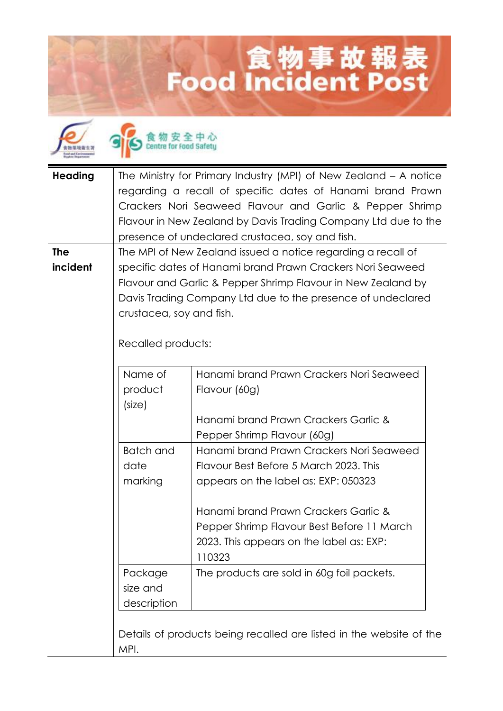## **Lood Incident Post**



食物安全中心

| <b>Heading</b> | The Ministry for Primary Industry (MPI) of New Zealand - A notice                                                          |                                                                     |  |
|----------------|----------------------------------------------------------------------------------------------------------------------------|---------------------------------------------------------------------|--|
|                |                                                                                                                            | regarding a recall of specific dates of Hanami brand Prawn          |  |
|                |                                                                                                                            | Crackers Nori Seaweed Flavour and Garlic & Pepper Shrimp            |  |
|                |                                                                                                                            | Flavour in New Zealand by Davis Trading Company Ltd due to the      |  |
|                |                                                                                                                            | presence of undeclared crustacea, soy and fish.                     |  |
| <b>The</b>     | The MPI of New Zealand issued a notice regarding a recall of                                                               |                                                                     |  |
| incident       | specific dates of Hanami brand Prawn Crackers Nori Seaweed<br>Flavour and Garlic & Pepper Shrimp Flavour in New Zealand by |                                                                     |  |
|                |                                                                                                                            |                                                                     |  |
|                | Davis Trading Company Ltd due to the presence of undeclared                                                                |                                                                     |  |
|                | crustacea, soy and fish.                                                                                                   |                                                                     |  |
|                |                                                                                                                            |                                                                     |  |
|                | Recalled products:                                                                                                         |                                                                     |  |
|                |                                                                                                                            |                                                                     |  |
|                | Name of                                                                                                                    | Hanami brand Prawn Crackers Nori Seaweed                            |  |
|                |                                                                                                                            |                                                                     |  |
|                | product                                                                                                                    | Flavour (60g)                                                       |  |
|                | (size)                                                                                                                     |                                                                     |  |
|                |                                                                                                                            | Hanami brand Prawn Crackers Garlic &                                |  |
|                |                                                                                                                            | Pepper Shrimp Flavour (60g)                                         |  |
|                | <b>Batch and</b>                                                                                                           | Hanami brand Prawn Crackers Nori Seaweed                            |  |
|                | date                                                                                                                       | Flavour Best Before 5 March 2023. This                              |  |
|                | marking                                                                                                                    | appears on the label as: EXP: 050323                                |  |
|                |                                                                                                                            |                                                                     |  |
|                |                                                                                                                            | Hanami brand Prawn Crackers Garlic &                                |  |
|                |                                                                                                                            | Pepper Shrimp Flavour Best Before 11 March                          |  |
|                |                                                                                                                            | 2023. This appears on the label as: EXP:                            |  |
|                |                                                                                                                            | 110323                                                              |  |
|                | Package                                                                                                                    | The products are sold in 60g foil packets.                          |  |
|                | size and                                                                                                                   |                                                                     |  |
|                | description                                                                                                                |                                                                     |  |
|                |                                                                                                                            |                                                                     |  |
|                |                                                                                                                            |                                                                     |  |
|                |                                                                                                                            | Details of products being recalled are listed in the website of the |  |
|                | MPI.                                                                                                                       |                                                                     |  |